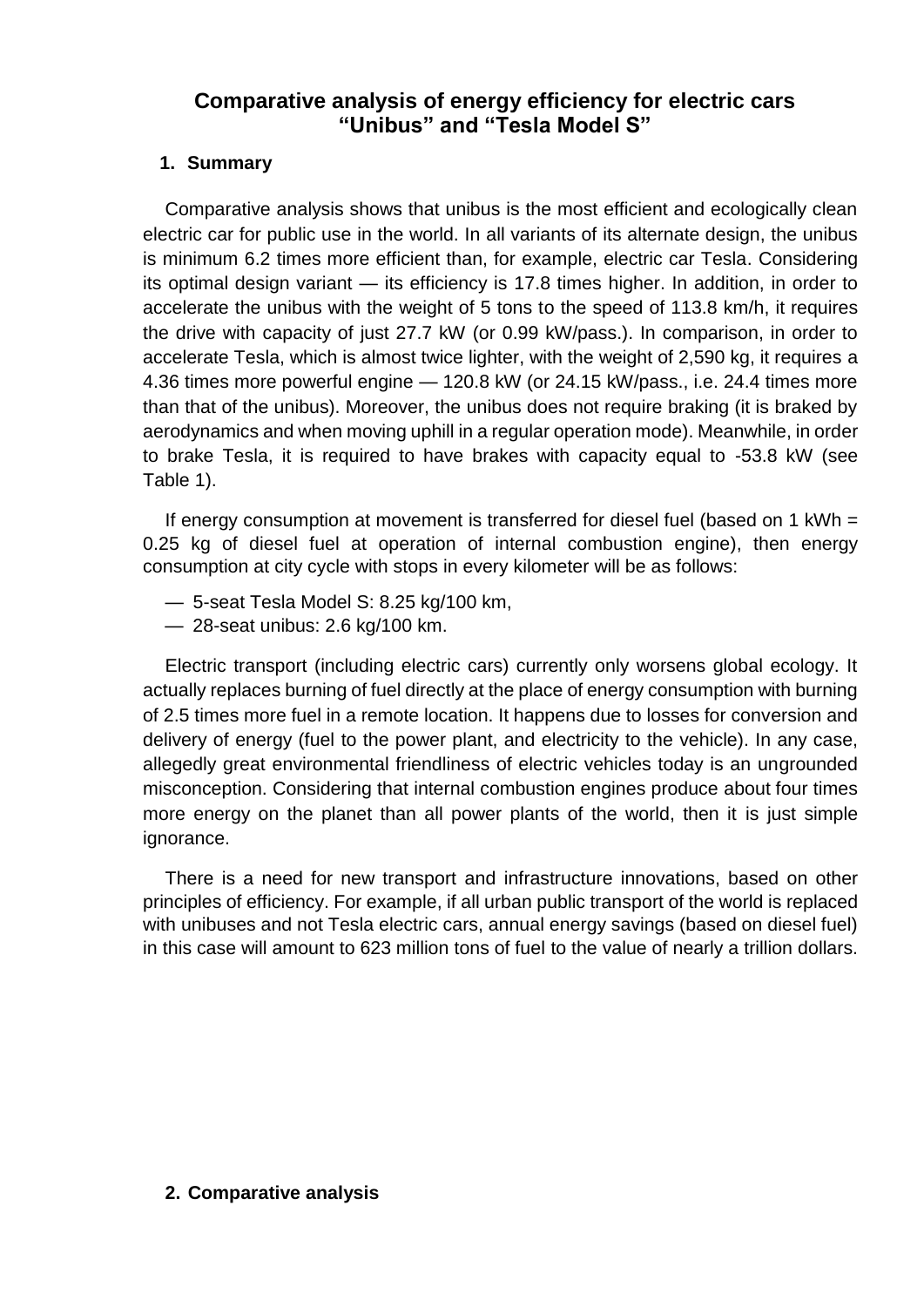# **Comparative analysis of energy efficiency for electric cars "Unibus" and "Tesla Model S"**

## **1. Summary**

Comparative analysis shows that unibus is the most efficient and ecologically clean electric car for public use in the world. In all variants of its alternate design, the unibus is minimum 6.2 times more efficient than, for example, electric car Tesla. Considering its optimal design variant — its efficiency is 17.8 times higher. In addition, in order to accelerate the unibus with the weight of 5 tons to the speed of 113.8 km/h, it requires the drive with capacity of just 27.7 kW (or 0.99 kW/pass.). In comparison, in order to accelerate Tesla, which is almost twice lighter, with the weight of 2,590 kg, it requires a 4.36 times more powerful engine — 120.8 kW (or 24.15 kW/pass., i.e. 24.4 times more than that of the unibus). Moreover, the unibus does not require braking (it is braked by aerodynamics and when moving uphill in a regular operation mode). Meanwhile, in order to brake Tesla, it is required to have brakes with capacity equal to -53.8 kW (see Table 1).

If energy consumption at movement is transferred for diesel fuel (based on 1 kWh = 0.25 kg of diesel fuel at operation of internal combustion engine), then energy consumption at city cycle with stops in every kilometer will be as follows:

- 5-seat Tesla Model S: 8.25 kg/100 km,
- 28-seat unibus: 2.6 kg/100 km.

Electric transport (including electric cars) currently only worsens global ecology. It actually replaces burning of fuel directly at the place of energy consumption with burning of 2.5 times more fuel in a remote location. It happens due to losses for conversion and delivery of energy (fuel to the power plant, and electricity to the vehicle). In any case, allegedly great environmental friendliness of electric vehicles today is an ungrounded misconception. Considering that internal combustion engines produce about four times more energy on the planet than all power plants of the world, then it is just simple ignorance.

There is a need for new transport and infrastructure innovations, based on other principles of efficiency. For example, if all urban public transport of the world is replaced with unibuses and not Tesla electric cars, annual energy savings (based on diesel fuel) in this case will amount to 623 million tons of fuel to the value of nearly a trillion dollars.

#### **2. Comparative analysis**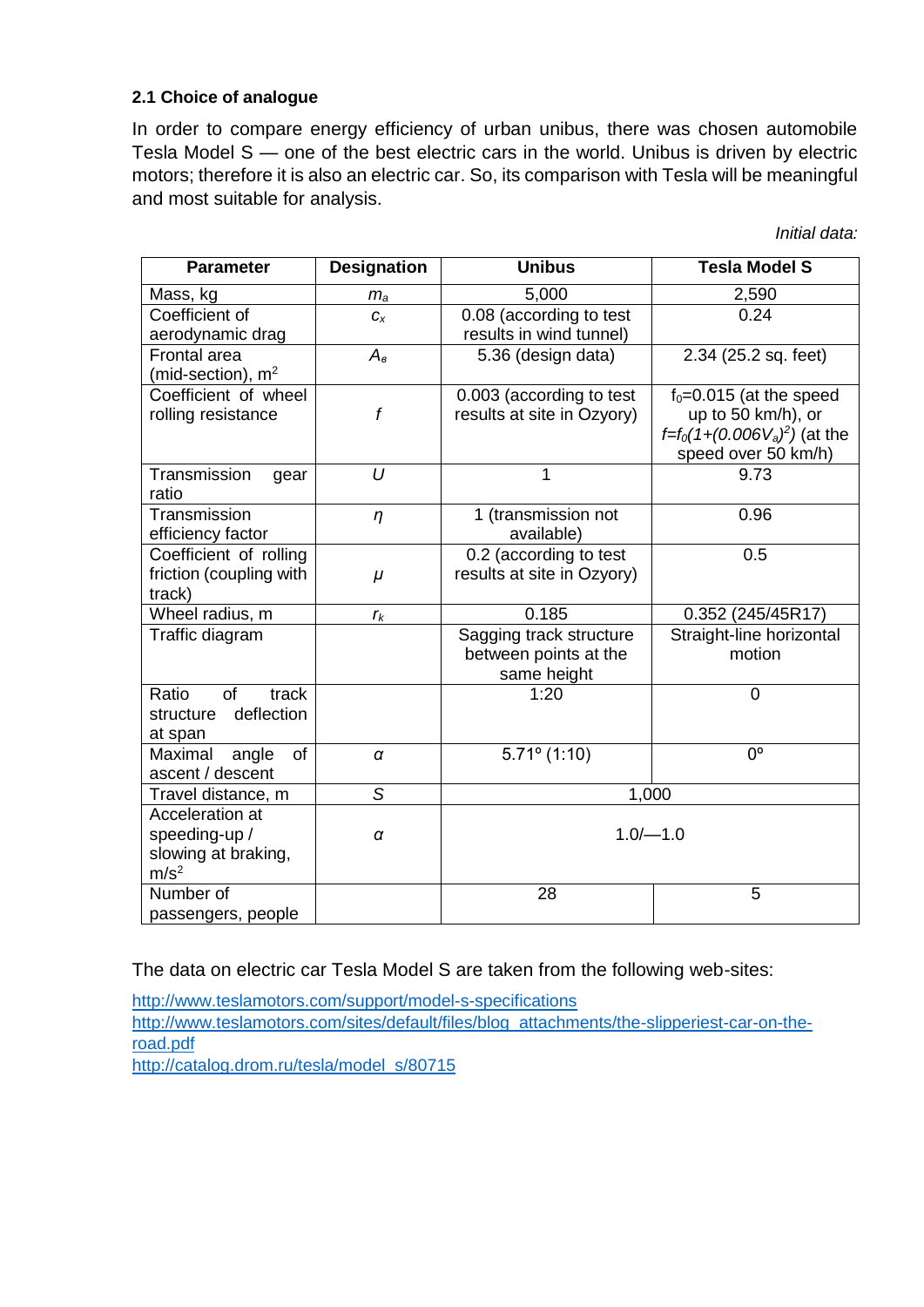#### **2.1 Choice of analogue**

In order to compare energy efficiency of urban unibus, there was chosen automobile Tesla Model S — one of the best electric cars in the world. Unibus is driven by electric motors; therefore it is also an electric car. So, its comparison with Tesla will be meaningful and most suitable for analysis.

*Initial data:*

| <b>Parameter</b>                                                            | <b>Designation</b> | <b>Unibus</b>                                                   | <b>Tesla Model S</b>                                                                                     |  |
|-----------------------------------------------------------------------------|--------------------|-----------------------------------------------------------------|----------------------------------------------------------------------------------------------------------|--|
| Mass, kg                                                                    | $m_a$              | 5,000                                                           | 2,590                                                                                                    |  |
| Coefficient of<br>aerodynamic drag                                          | $C_X$              | 0.08 (according to test<br>results in wind tunnel)              | 0.24                                                                                                     |  |
| Frontal area<br>(mid-section), $m2$                                         | $A_{\rm s}$        | 5.36 (design data)                                              | 2.34 (25.2 sq. feet)                                                                                     |  |
| Coefficient of wheel<br>rolling resistance                                  | f                  | 0.003 (according to test<br>results at site in Ozyory)          | $f_0 = 0.015$ (at the speed<br>up to 50 km/h), or<br>$f=f0(1+(0.006Va)2)$ (at the<br>speed over 50 km/h) |  |
| Transmission<br>gear<br>ratio                                               | $\overline{U}$     | 1                                                               | 9.73                                                                                                     |  |
| Transmission<br>efficiency factor                                           | $\eta$             | 1 (transmission not<br>available)                               | 0.96                                                                                                     |  |
| Coefficient of rolling<br>friction (coupling with<br>track)                 | $\mu$              | 0.2 (according to test<br>results at site in Ozyory)            | 0.5                                                                                                      |  |
| Wheel radius, m                                                             | $r_{k}$            | 0.185                                                           | 0.352 (245/45R17)                                                                                        |  |
| Traffic diagram                                                             |                    | Sagging track structure<br>between points at the<br>same height | Straight-line horizontal<br>motion                                                                       |  |
| Ratio<br><b>of</b><br>track<br>deflection<br>structure<br>at span           |                    | 1:20                                                            | $\overline{0}$                                                                                           |  |
| Maximal<br>of<br>angle<br>ascent / descent                                  | $\pmb{\alpha}$     | $5.71^{\circ}$ (1:10)                                           | $\overline{0}$                                                                                           |  |
| Travel distance, m                                                          | S                  | 1,000                                                           |                                                                                                          |  |
| Acceleration at<br>speeding-up /<br>slowing at braking,<br>m/s <sup>2</sup> | $\alpha$           | $1.0/-1.0$                                                      |                                                                                                          |  |
| Number of<br>passengers, people                                             |                    | 28                                                              | 5                                                                                                        |  |

The data on electric car Tesla Model S are taken from the following web-sites:

<http://www.teslamotors.com/support/model-s-specifications> http:/[/www.teslamotors.com/sites/default/files/blog\\_attachments/the-slipperiest-car-on-the](http://www.teslamotors.com/sites/default/files/blog_attachments/the-slipperiest-car-on-the-road.pdf)[road.pdf](http://www.teslamotors.com/sites/default/files/blog_attachments/the-slipperiest-car-on-the-road.pdf) [http://catalog.drom.ru/tesla/model\\_s/80715](http://catalog.drom.ru/tesla/model_s/80715)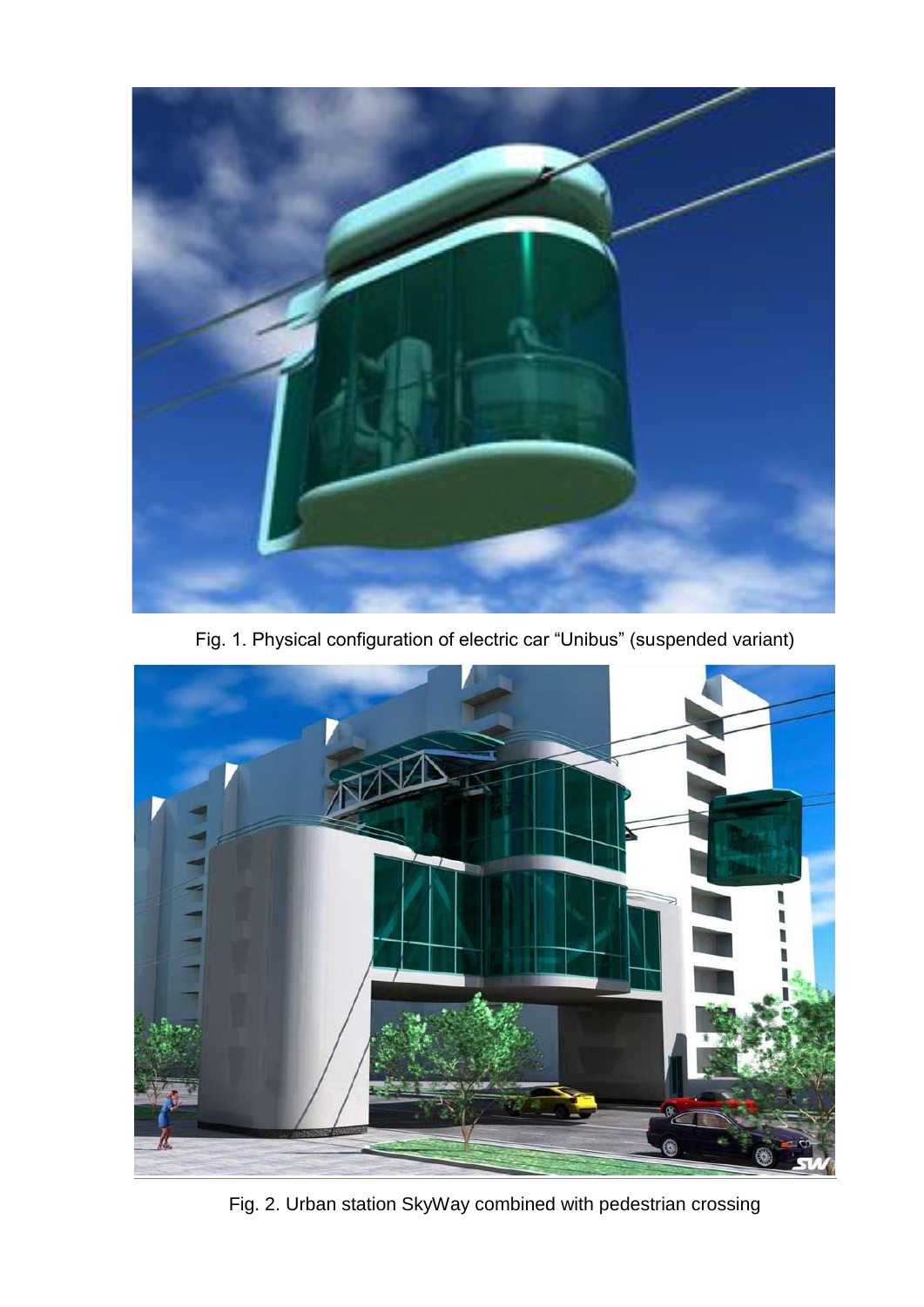

Fig. 1. Physical configuration of electric car "Unibus" (suspended variant)



Fig. 2. Urban station SkyWay combined with pedestrian crossing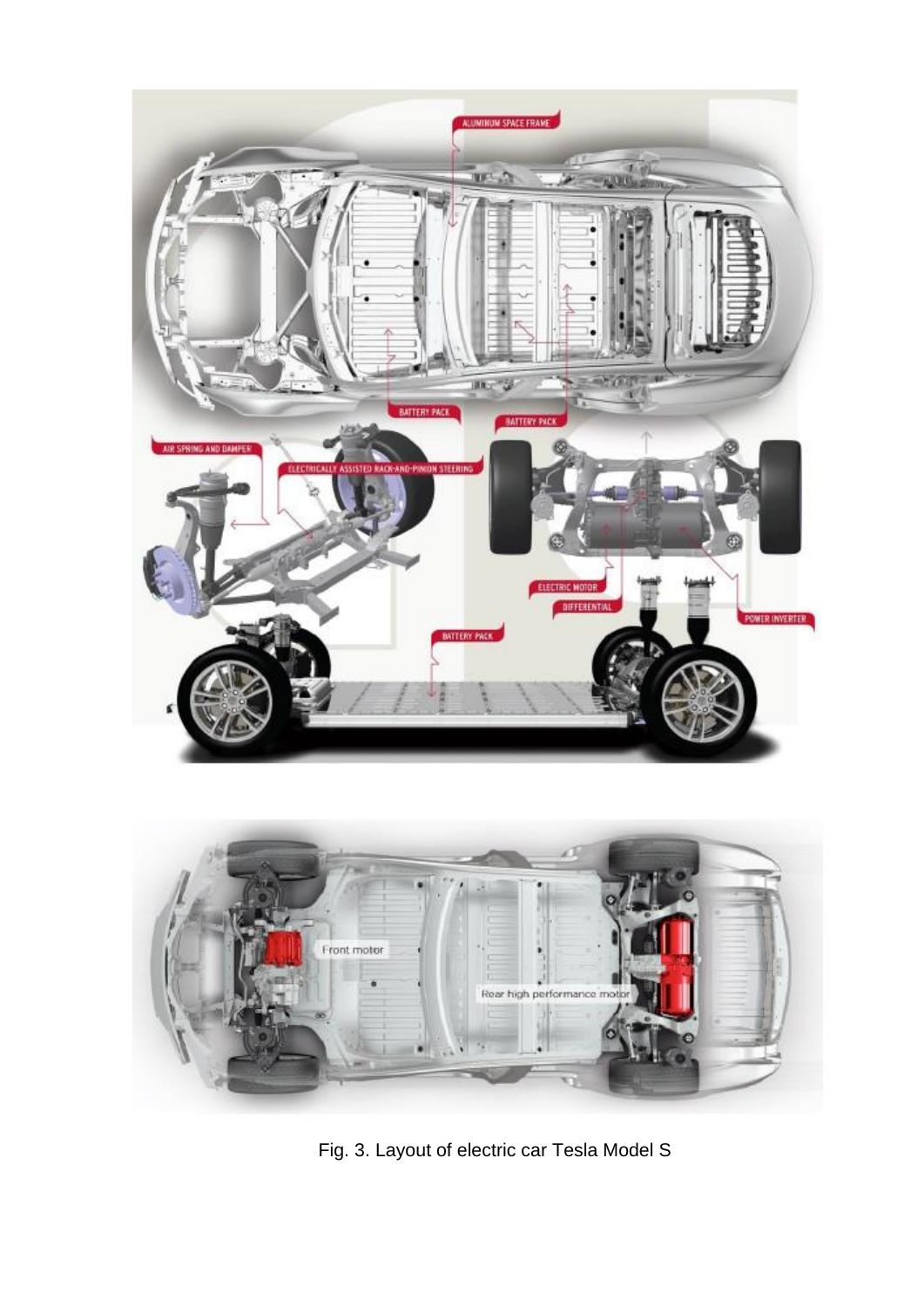



Fig. 3. Layout of electric car Tesla Model S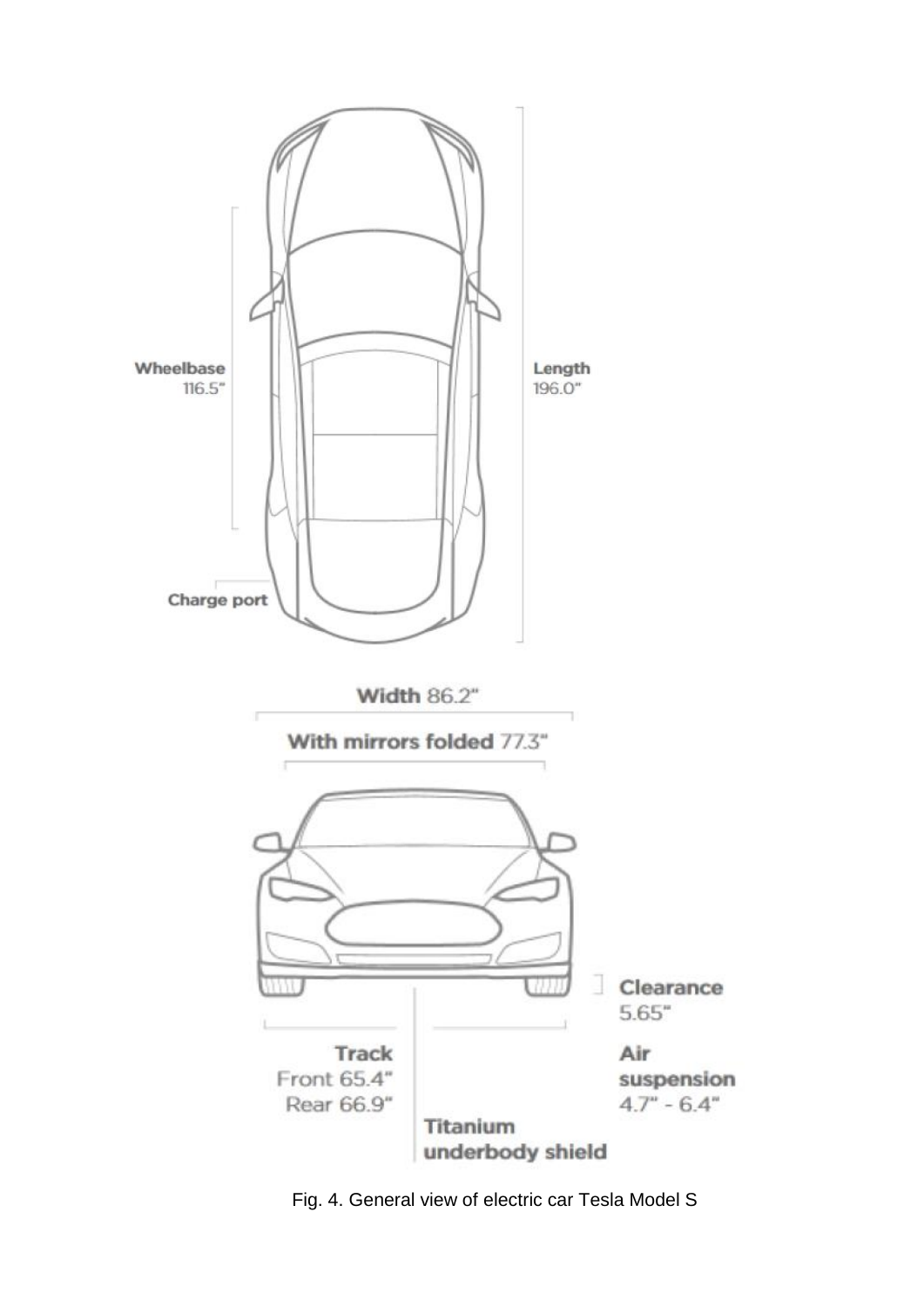

Fig. 4. General view of electric car Tesla Model S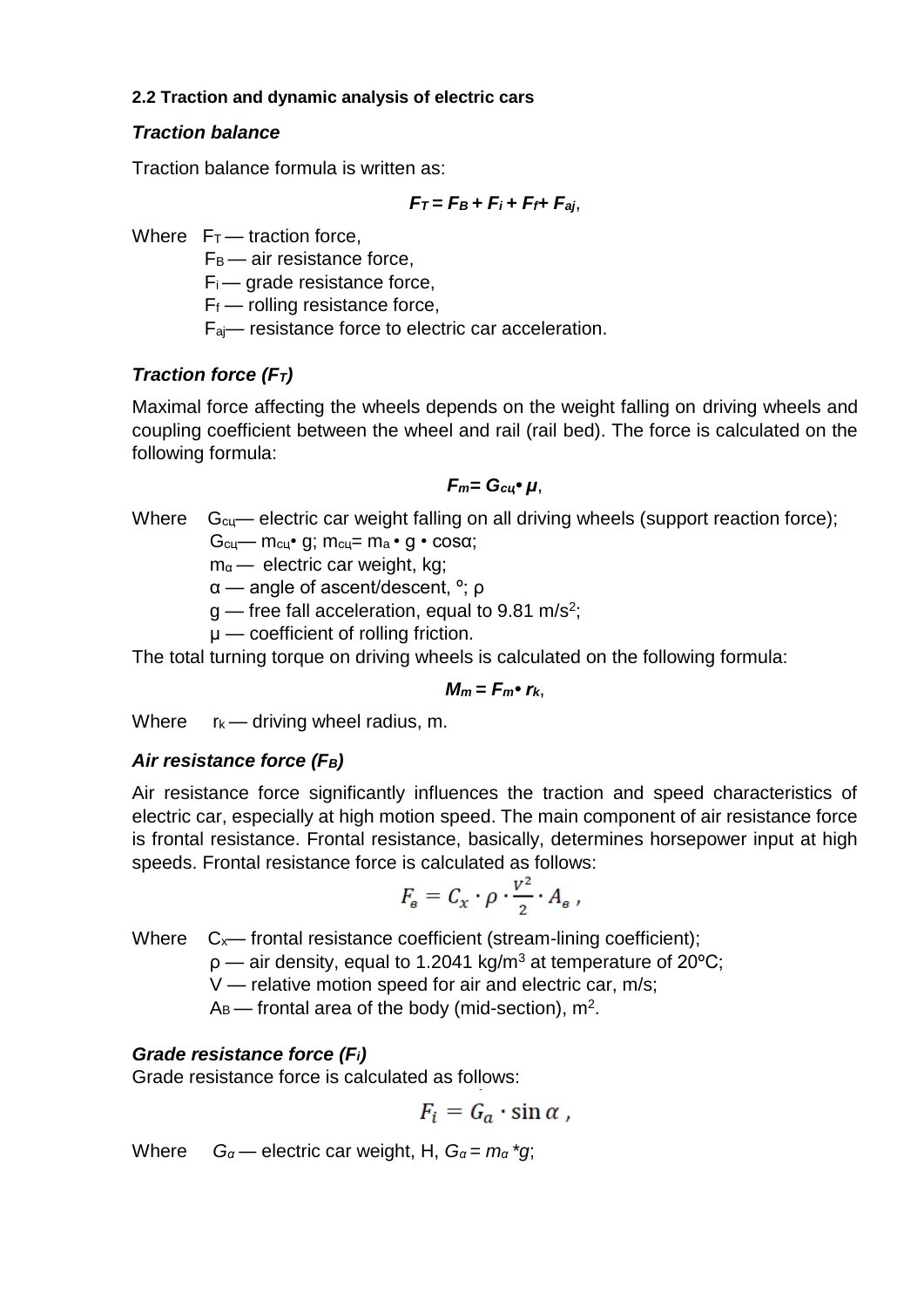#### **2.2 Traction and dynamic analysis of electric cars**

## *Traction balance*

Traction balance formula is written as:

$$
F_T = F_B + F_i + F_{f+} F_{aj},
$$

Where  $F_T$  — traction force,

 $F_B$  — air resistance force,

 $F_i$  — grade resistance force,

 $F_f$  — rolling resistance force,

Faj— resistance force to electric car acceleration.

# *Traction force (FT)*

Maximal force affecting the wheels depends on the weight falling on driving wheels and coupling coefficient between the wheel and rail (rail bed). The force is calculated on the following formula:

### *Fm= Gсц• µ*,

Where  $G_{cu}$ — electric car weight falling on all driving wheels (support reaction force);  $G_{cu}$ — m<sub>cu</sub>• q; m<sub>cu</sub>= m<sub>a</sub> • q • cos $\alpha$ ;

 $m_{\alpha}$  — electric car weight, kg;

α — angle of ascent/descent, º; ρ

- $g$  free fall acceleration, equal to 9.81 m/s<sup>2</sup>;
	- $\mu$  coefficient of rolling friction.

The total turning torque on driving wheels is calculated on the following formula:

$$
M_m = F_{m^{\bullet}} r_{k},
$$

Where  $r_k$  — driving wheel radius, m.

### *Air resistance force (FB)*

Air resistance force significantly influences the traction and speed characteristics of electric car, especially at high motion speed. The main component of air resistance force is frontal resistance. Frontal resistance, basically, determines horsepower input at high speeds. Frontal resistance force is calculated as follows:

$$
F_{\rm e} = C_x \cdot \rho \cdot \frac{v^2}{2} \cdot A_{\rm e} ,
$$

Where  $C_x$ — frontal resistance coefficient (stream-lining coefficient);

 $p$  — air density, equal to 1.2041 kg/m<sup>3</sup> at temperature of 20 $^{\circ}$ C;

V — relative motion speed for air and electric car, m/s;

 $A_B$ — frontal area of the body (mid-section), m<sup>2</sup>.

# *Grade resistance force (Fi)*

Grade resistance force is calculated as follows:

$$
F_i = G_a \cdot \sin \alpha ,
$$

Where  $G_{\alpha}$  — electric car weight, H,  $G_{\alpha} = m_{\alpha} * g$ ;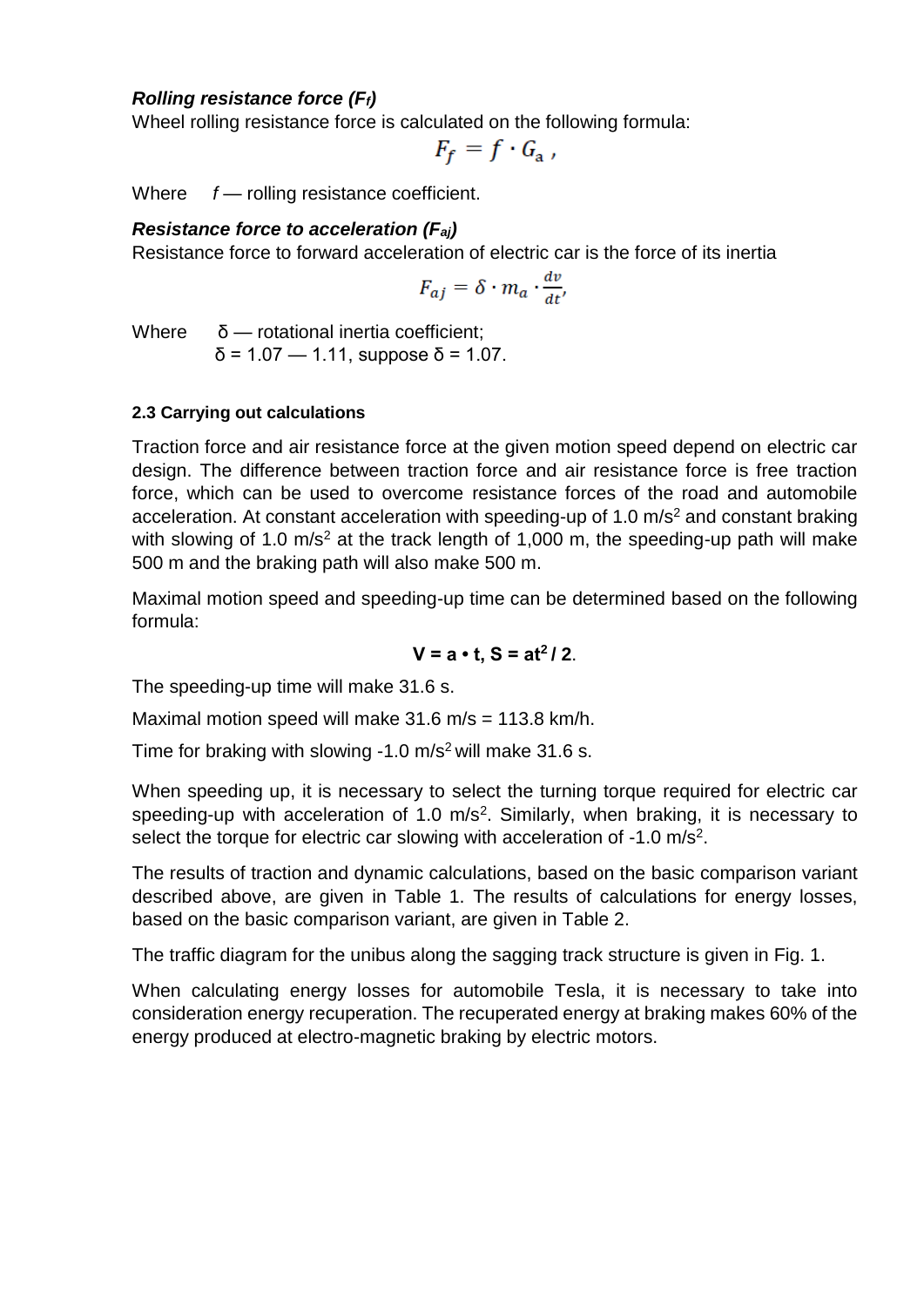### *Rolling resistance force (Ff)*

Wheel rolling resistance force is calculated on the following formula:

$$
F_f = f \cdot G_a ,
$$

Where *f* — rolling resistance coefficient.

#### *Resistance force to acceleration (Faj)*

Resistance force to forward acceleration of electric car is the force of its inertia

$$
F_{aj} = \delta \cdot m_a \cdot \frac{dv}{dt'}
$$

Where  $δ$  — rotational inertia coefficient;

 $δ = 1.07 - 1.11$ , suppose  $δ = 1.07$ .

#### **2.3 Carrying out calculations**

Traction force and air resistance force at the given motion speed depend on electric car design. The difference between traction force and air resistance force is free traction force, which can be used to overcome resistance forces of the road and automobile acceleration. At constant acceleration with speeding-up of 1.0  $\text{m/s}^2$  and constant braking with slowing of 1.0  $m/s<sup>2</sup>$  at the track length of 1.000 m, the speeding-up path will make 500 m and the braking path will also make 500 m.

Maximal motion speed and speeding-up time can be determined based on the following formula:

$$
V = a \cdot t, S = at^2/2.
$$

The speeding-up time will make 31.6 s.

Maximal motion speed will make  $31.6$  m/s = 113.8 km/h.

Time for braking with slowing  $-1.0$  m/s<sup>2</sup> will make 31.6 s.

When speeding up, it is necessary to select the turning torque required for electric car speeding-up with acceleration of 1.0  $m/s<sup>2</sup>$ . Similarly, when braking, it is necessary to select the torque for electric car slowing with acceleration of -1.0 m/s<sup>2</sup>.

The results of traction and dynamic calculations, based on the basic comparison variant described above, are given in Table 1. The results of calculations for energy losses, based on the basic comparison variant, are given in Table 2.

The traffic diagram for the unibus along the sagging track structure is given in Fig. 1.

When calculating energy losses for automobile Tesla, it is necessary to take into consideration energy recuperation. The recuperated energy at braking makes 60% of the energy produced at electro-magnetic braking by electric motors.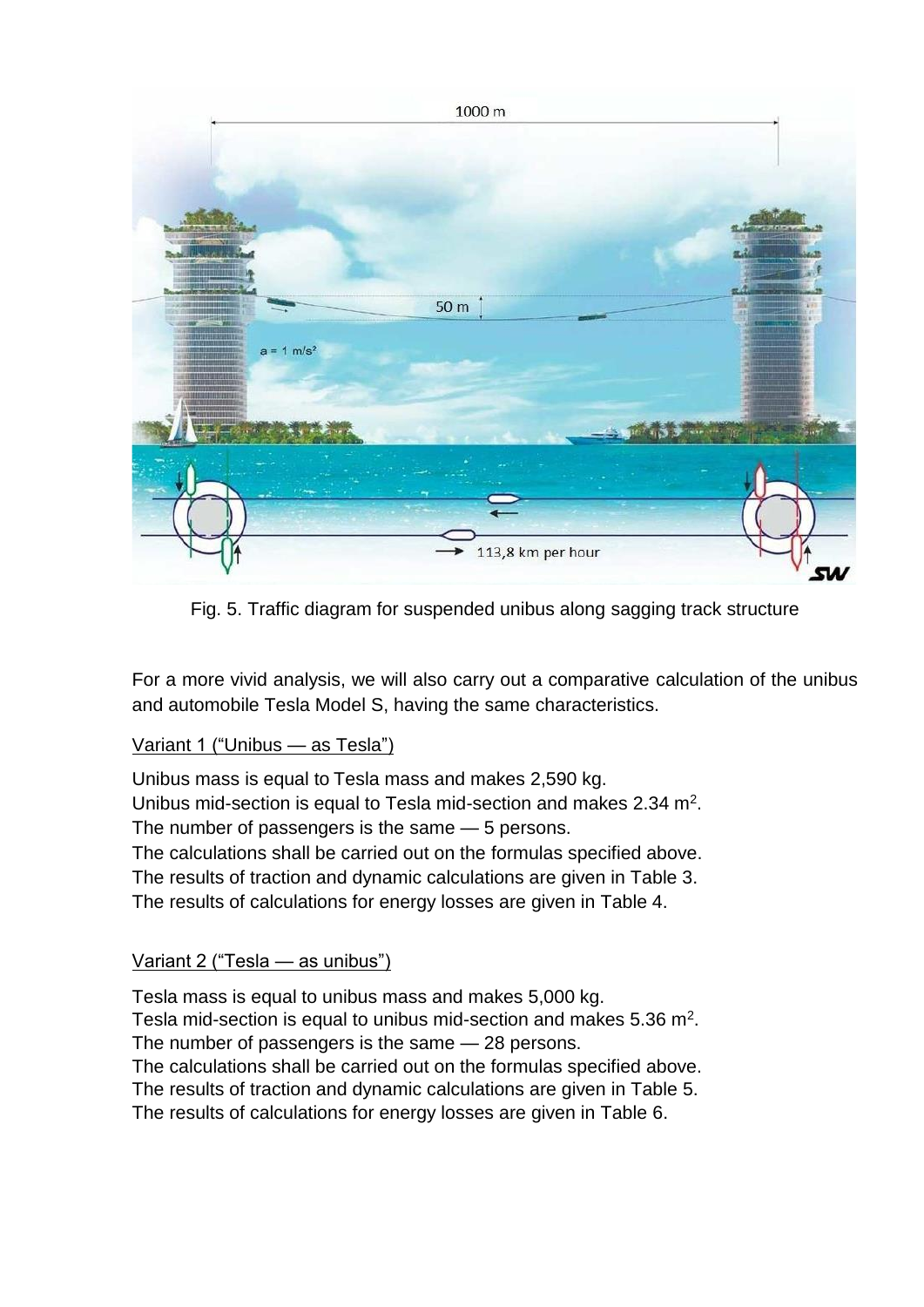

Fig. 5. Traffic diagram for suspended unibus along sagging track structure

For a more vivid analysis, we will also carry out a comparative calculation of the unibus and automobile Tesla Model S, having the same characteristics.

### Variant 1 ("Unibus — as Tesla")

Unibus mass is equal to Tesla mass and makes 2,590 kg. Unibus mid-section is equal to Tesla mid-section and makes 2.34  $m<sup>2</sup>$ . The number of passengers is the same — 5 persons. The calculations shall be carried out on the formulas specified above. The results of traction and dynamic calculations are given in Table 3. The results of calculations for energy losses are given in Table 4.

### Variant 2 ("Tesla — as unibus")

Tesla mass is equal to unibus mass and makes 5,000 kg. Tesla mid-section is equal to unibus mid-section and makes 5.36  $m^2$ . The number of passengers is the same — 28 persons. The calculations shall be carried out on the formulas specified above. The results of traction and dynamic calculations are given in Table 5. The results of calculations for energy losses are given in Table 6.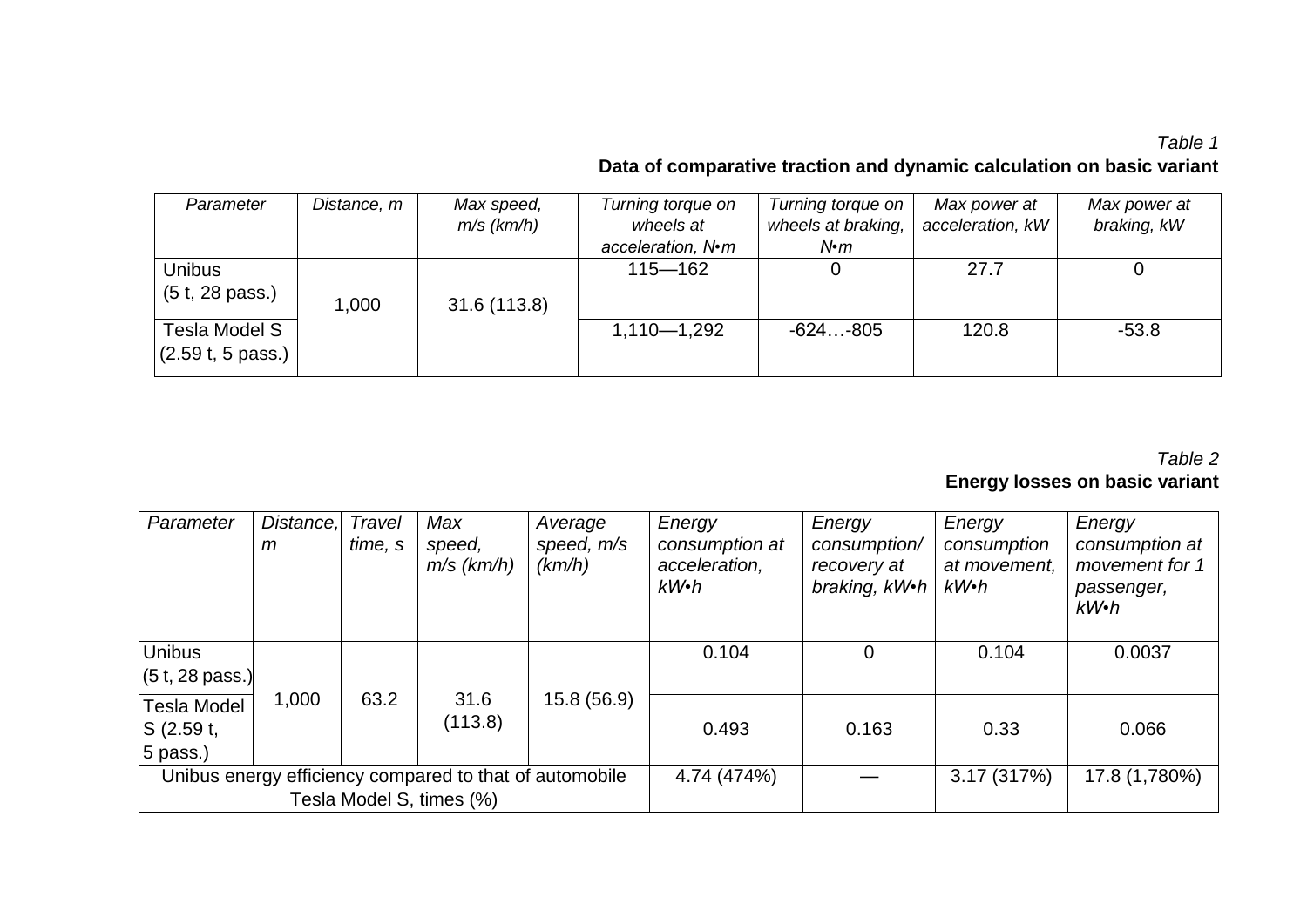# *Table 1* **Data of comparative traction and dynamic calculation on basic variant**

| Parameter                  | Distance, m | Max speed,   | Turning torque on | Turning torque on  | Max power at     | Max power at |
|----------------------------|-------------|--------------|-------------------|--------------------|------------------|--------------|
|                            |             | $m/s$ (km/h) | wheels at         | wheels at braking, | acceleration, kW | braking, kW  |
|                            |             |              | acceleration, N•m | $N$ • $m$          |                  |              |
| <b>Unibus</b>              |             |              | $115 - 162$       |                    | 27.7             |              |
| (5 t, 28 pass.)            | 1,000       | 31.6(113.8)  |                   |                    |                  |              |
| Tesla Model S              |             |              | $1,110 - 1,292$   | $-624-805$         | 120.8            | $-53.8$      |
| $(2.59t, 5 \text{ pass.})$ |             |              |                   |                    |                  |              |

# *Table 2* **Energy losses on basic variant**

| Parameter                                                                           | Distance,<br>m | Travel<br>time, s | Max<br>speed,<br>$m/s$ (km/h) | Average<br>speed, m/s<br>(km/h) | Energy<br>consumption at<br>acceleration,<br>$kW\cdot h$ | Energy<br>consumption/<br>recovery at<br>braking, kW.h | Energy<br>consumption<br>at movement,<br>$kW\cdot h$ | Energy<br>consumption at<br>movement for 1<br>passenger,<br>$kW\cdot h$ |
|-------------------------------------------------------------------------------------|----------------|-------------------|-------------------------------|---------------------------------|----------------------------------------------------------|--------------------------------------------------------|------------------------------------------------------|-------------------------------------------------------------------------|
| <b>Unibus</b><br>$(5t, 28 \text{ pass.})$                                           |                |                   |                               |                                 | 0.104                                                    | $\mathbf 0$                                            | 0.104                                                | 0.0037                                                                  |
| Tesla Model<br>S(2.59t,<br>5 pass.)                                                 | 1,000          | 63.2              | 31.6<br>(113.8)               | 15.8(56.9)                      | 0.493                                                    | 0.163                                                  | 0.33                                                 | 0.066                                                                   |
| Unibus energy efficiency compared to that of automobile<br>Tesla Model S, times (%) |                |                   |                               | 4.74 (474%)                     |                                                          | 3.17(317%)                                             | 17.8 (1,780%)                                        |                                                                         |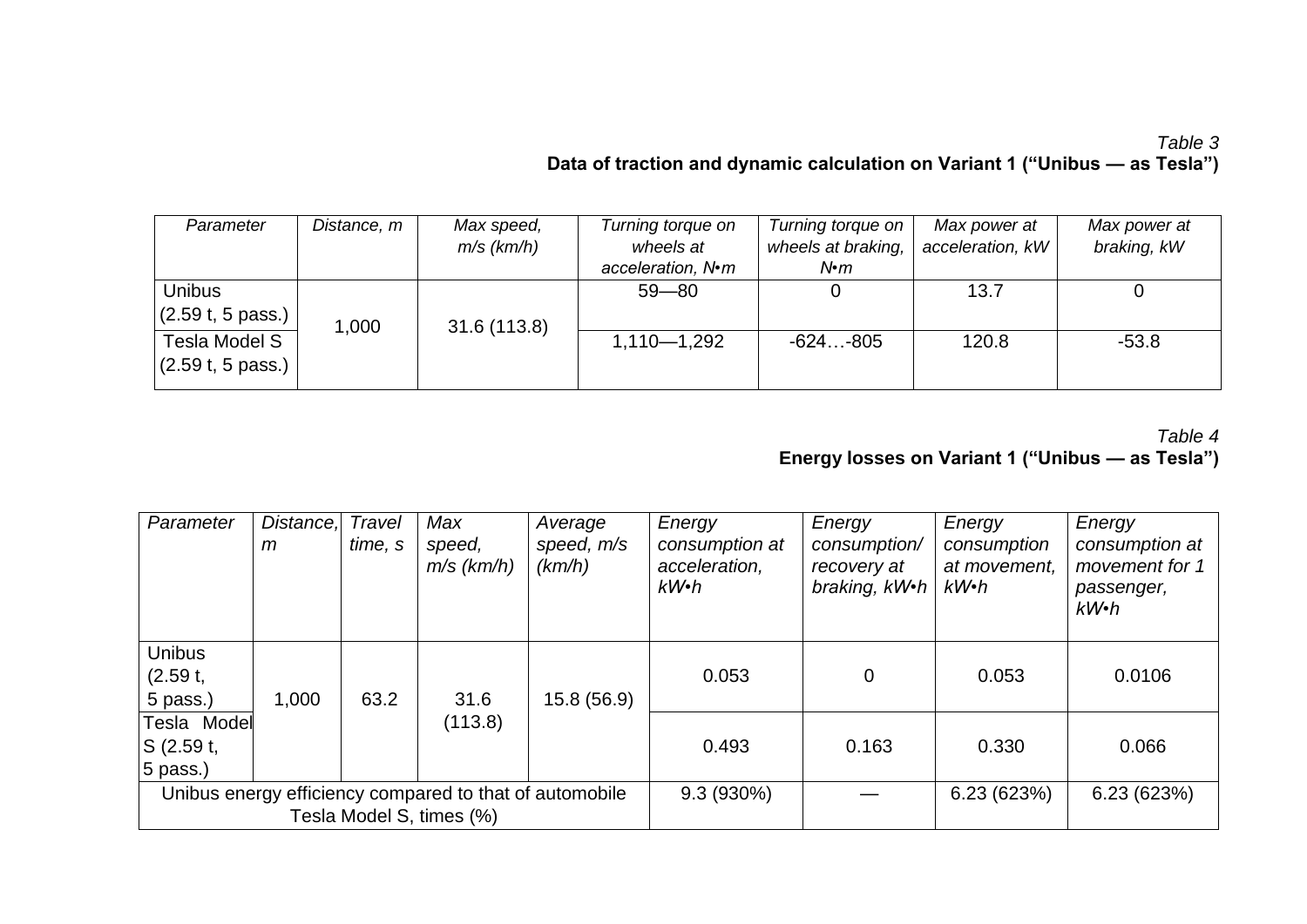# *Table 3* **Data of traction and dynamic calculation on Variant 1 ("Unibus — as Tesla")**

| Parameter                  | Distance, m | Max speed,   | Turning torque on | Turning torque on  | Max power at     | Max power at |
|----------------------------|-------------|--------------|-------------------|--------------------|------------------|--------------|
|                            |             | $m/s$ (km/h) | wheels at         | wheels at braking, | acceleration, kW | braking, kW  |
|                            |             |              | acceleration, N•m | $N$ • $m$          |                  |              |
| <b>Unibus</b>              |             |              | $59 - 80$         |                    | 13.7             |              |
| $(2.59t, 5 \text{ pass.})$ | 1,000       | 31.6 (113.8) |                   |                    |                  |              |
| Tesla Model S              |             |              | $1,110 - 1,292$   | $-624-805$         | 120.8            | $-53.8$      |
| $(2.59t, 5 \text{ pass.})$ |             |              |                   |                    |                  |              |

## *Table 4* **Energy losses on Variant 1 ("Unibus — as Tesla")**

| Parameter                                                                           | Distance,<br>m | Travel<br>time, s | Max<br>speed,<br>$m/s$ (km/h) | Average<br>speed, m/s<br>(km/h) | Energy<br>consumption at<br>acceleration,<br>$kW\cdot h$ | Energy<br>consumption/<br>recovery at<br>braking, kW.h | Energy<br>consumption<br>at movement,<br>kW•h | Energy<br>consumption at<br>movement for 1<br>passenger,<br>$kW$ · $h$ |
|-------------------------------------------------------------------------------------|----------------|-------------------|-------------------------------|---------------------------------|----------------------------------------------------------|--------------------------------------------------------|-----------------------------------------------|------------------------------------------------------------------------|
| <b>Unibus</b><br>(2.59 t,<br>5 pass.)                                               | 1,000          | 63.2              | 31.6                          | 15.8 (56.9)                     | 0.053                                                    | 0                                                      | 0.053                                         | 0.0106                                                                 |
| Tesla Model<br>S(2.59t,<br>5 pass.)                                                 |                |                   | (113.8)                       |                                 | 0.493                                                    | 0.163                                                  | 0.330                                         | 0.066                                                                  |
| Unibus energy efficiency compared to that of automobile<br>Tesla Model S, times (%) |                |                   | $9.3(930\%)$                  |                                 | 6.23(623%)                                               | 6.23(623%)                                             |                                               |                                                                        |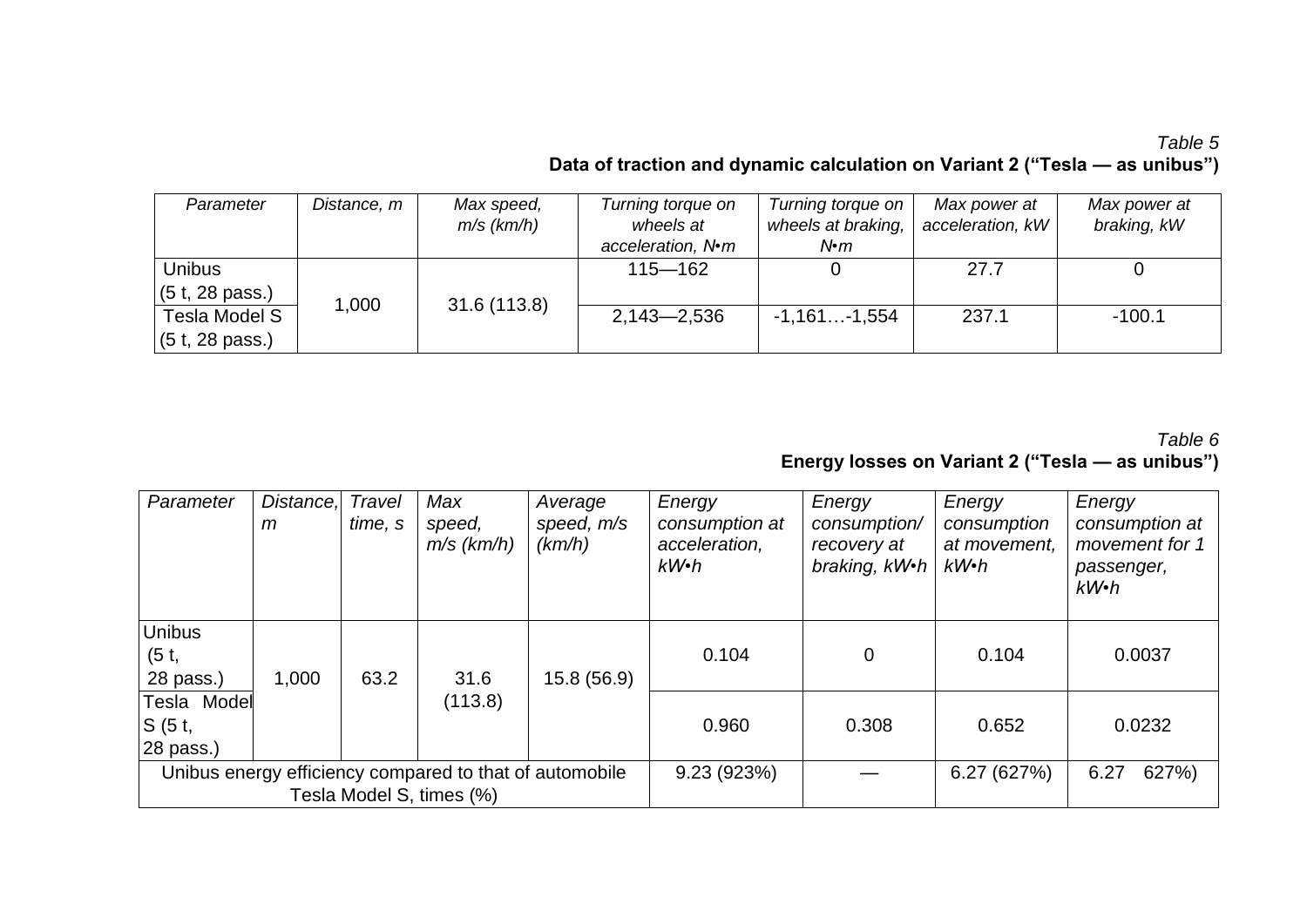# *Table 5* **Data of traction and dynamic calculation on Variant 2 ("Tesla — as unibus")**

| Parameter       | Distance, m | Max speed,   | Turning torque on | Turning torque on  | Max power at     | Max power at |
|-----------------|-------------|--------------|-------------------|--------------------|------------------|--------------|
|                 |             | $m/s$ (km/h) | wheels at         | wheels at braking, | acceleration, kW | braking, kW  |
|                 |             |              | acceleration, N•m | $N$ • $m$          |                  |              |
| <b>Unibus</b>   |             |              | $115 - 162$       |                    | 27.7             |              |
| (5 t, 28 pass.) |             |              |                   |                    |                  |              |
| Tesla Model S   | 1,000       | 31.6 (113.8) | $2,143 - 2,536$   | $-1,161-1,554$     | 237.1            | $-100.1$     |
| (5 t, 28 pass.) |             |              |                   |                    |                  |              |

# *Table 6* **Energy losses on Variant 2 ("Tesla — as unibus")**

| Parameter                                                                           | Distance,<br>m | Travel<br>time, s | Max<br>speed,<br>$m/s$ ( $km/h$ ) | Average<br>speed, m/s<br>(km/h) | Energy<br>consumption at<br>acceleration,<br>$kW\cdot h$ | Energy<br>consumption/<br>recovery at<br>braking, kW.h | Energy<br>consumption<br>at movement,<br>$kW\cdot h$ | Energy<br>consumption at<br>movement for 1<br>passenger,<br>$kW\cdot h$ |
|-------------------------------------------------------------------------------------|----------------|-------------------|-----------------------------------|---------------------------------|----------------------------------------------------------|--------------------------------------------------------|------------------------------------------------------|-------------------------------------------------------------------------|
| <b>Unibus</b><br>(5 t,<br>28 pass.)                                                 | 1,000          | 63.2              | 31.6                              | 15.8 (56.9)                     | 0.104                                                    | 0                                                      | 0.104                                                | 0.0037                                                                  |
| Tesla Model<br>S(5t,<br>$28$ pass.)                                                 |                |                   | (113.8)                           |                                 | 0.960                                                    | 0.308                                                  | 0.652                                                | 0.0232                                                                  |
| Unibus energy efficiency compared to that of automobile<br>Tesla Model S, times (%) |                |                   |                                   | 9.23(923%)                      |                                                          | 6.27 (627%)                                            | 627%)<br>6.27                                        |                                                                         |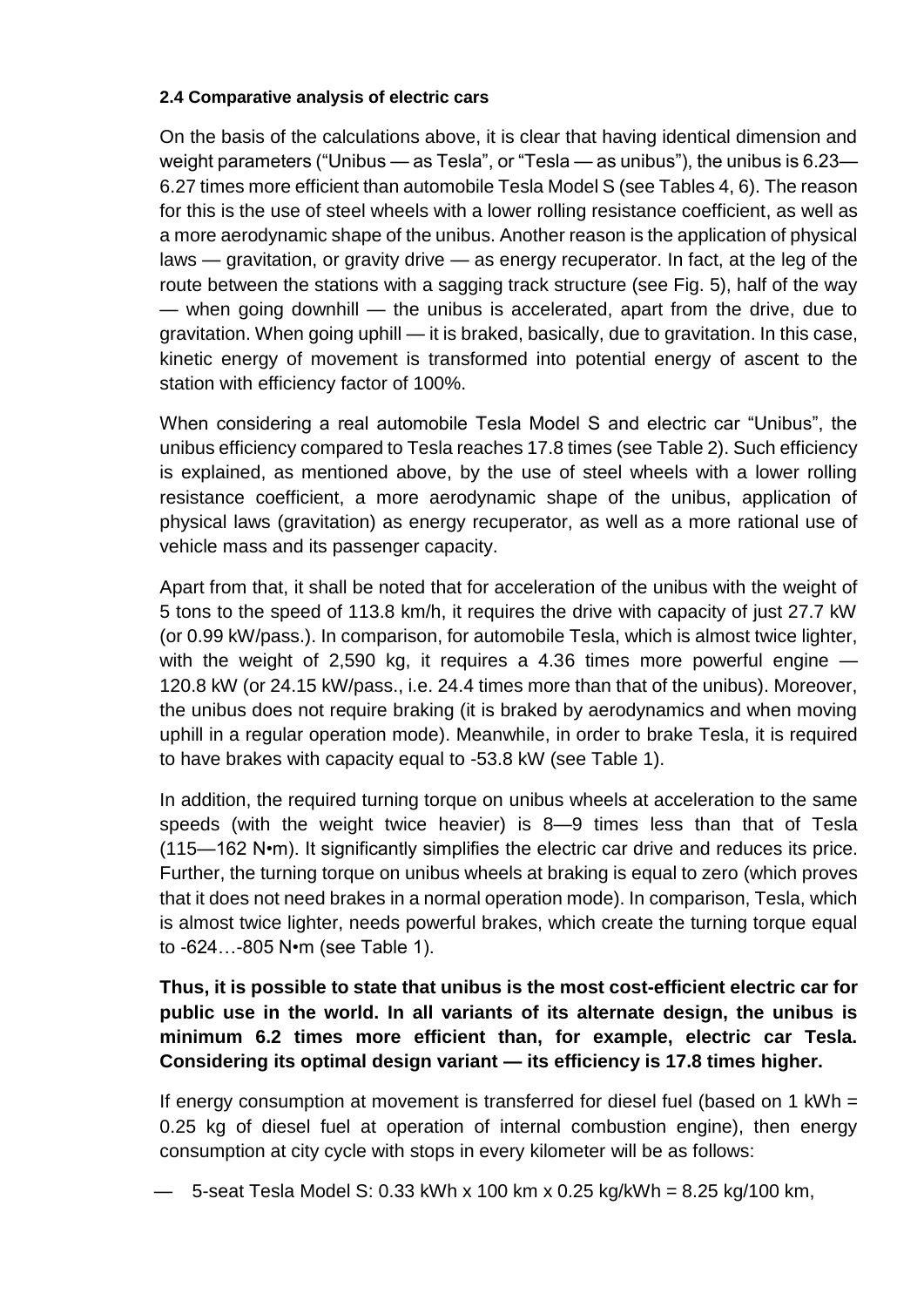#### **2.4 Comparative analysis of electric cars**

On the basis of the calculations above, it is clear that having identical dimension and weight parameters ("Unibus — as Tesla", or "Tesla — as unibus"), the unibus is 6.23— 6.27 times more efficient than automobile Tesla Model S (see Tables 4, 6). The reason for this is the use of steel wheels with a lower rolling resistance coefficient, as well as a more aerodynamic shape of the unibus. Another reason is the application of physical laws — gravitation, or gravity drive — as energy recuperator. In fact, at the leg of the route between the stations with a sagging track structure (see Fig. 5), half of the way — when going downhill — the unibus is accelerated, apart from the drive, due to gravitation. When going uphill — it is braked, basically, due to gravitation. In this case, kinetic energy of movement is transformed into potential energy of ascent to the station with efficiency factor of 100%.

When considering a real automobile Tesla Model S and electric car "Unibus", the unibus efficiency compared to Tesla reaches 17.8 times (see Table 2). Such efficiency is explained, as mentioned above, by the use of steel wheels with a lower rolling resistance coefficient, a more aerodynamic shape of the unibus, application of physical laws (gravitation) as energy recuperator, as well as a more rational use of vehicle mass and its passenger capacity.

Apart from that, it shall be noted that for acceleration of the unibus with the weight of 5 tons to the speed of 113.8 km/h, it requires the drive with capacity of just 27.7 kW (or 0.99 kW/pass.). In comparison, for automobile Tesla, which is almost twice lighter, with the weight of 2,590 kg, it requires a 4.36 times more powerful engine – 120.8 kW (or 24.15 kW/pass., i.e. 24.4 times more than that of the unibus). Moreover, the unibus does not require braking (it is braked by aerodynamics and when moving uphill in a regular operation mode). Meanwhile, in order to brake Tesla, it is required to have brakes with capacity equal to -53.8 kW (see Table 1).

In addition, the required turning torque on unibus wheels at acceleration to the same speeds (with the weight twice heavier) is 8—9 times less than that of Tesla (115—162 N•m). It significantly simplifies the electric car drive and reduces its price. Further, the turning torque on unibus wheels at braking is equal to zero (which proves that it does not need brakes in a normal operation mode). In comparison, Tesla, which is almost twice lighter, needs powerful brakes, which create the turning torque equal to -624…-805 N•m (see Table 1).

**Thus, it is possible to state that unibus is the most cost-efficient electric car for public use in the world. In all variants of its alternate design, the unibus is minimum 6.2 times more efficient than, for example, electric car Tesla. Considering its optimal design variant — its efficiency is 17.8 times higher.** 

If energy consumption at movement is transferred for diesel fuel (based on 1 kWh = 0.25 kg of diesel fuel at operation of internal combustion engine), then energy consumption at city cycle with stops in every kilometer will be as follows:

— 5-seat Tesla Model S: 0.33 kWh x 100 km x 0.25 kg/kWh = 8.25 kg/100 km,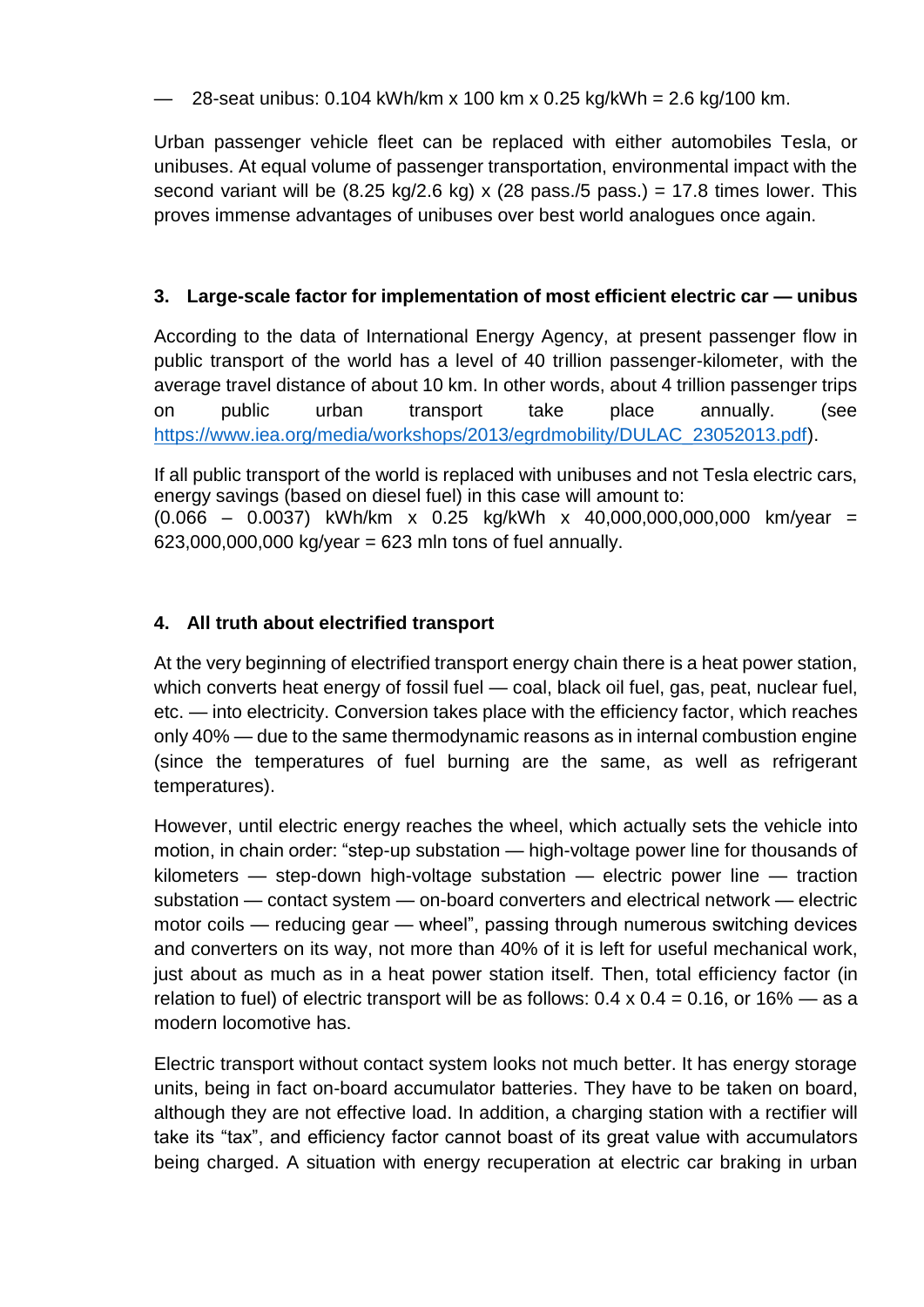## — 28-seat unibus: 0.104 kWh/km x 100 km x 0.25 kg/kWh = 2.6 kg/100 km.

Urban passenger vehicle fleet can be replaced with either automobiles Tesla, or unibuses. At equal volume of passenger transportation, environmental impact with the second variant will be  $(8.25 \text{ kg}/2.6 \text{ kg}) \times (28 \text{ pass}./5 \text{ pass.}) = 17.8 \text{ times lower. This}$ proves immense advantages of unibuses over best world analogues once again.

# **3. Large-scale factor for implementation of most efficient electric car — unibus**

According to the data of International Energy Agency, at present passenger flow in public transport of the world has a level of 40 trillion passenger-kilometer, with the average travel distance of about 10 km. In other words, about 4 trillion passenger trips on public urban transport take place annually. (see [https://www.iea.org/media/workshops/2013/egrdmobility/DULAC\\_23052013.pdf\)](https://www.iea.org/media/workshops/2013/egrdmobility/DULAC_23052013.pdf).

If all public transport of the world is replaced with unibuses and not Tesla electric cars, energy savings (based on diesel fuel) in this case will amount to:  $(0.066 - 0.0037)$  kWh/km x 0.25 kg/kWh x 40,000,000,000,000 km/year =  $623,000,000,000$  kg/year =  $623$  mln tons of fuel annually.

# **4. All truth about electrified transport**

At the very beginning of electrified transport energy chain there is a heat power station, which converts heat energy of fossil fuel — coal, black oil fuel, gas, peat, nuclear fuel, etc. — into electricity. Conversion takes place with the efficiency factor, which reaches only 40% — due to the same thermodynamic reasons as in internal combustion engine (since the temperatures of fuel burning are the same, as well as refrigerant temperatures).

However, until electric energy reaches the wheel, which actually sets the vehicle into motion, in chain order: "step-up substation — high-voltage power line for thousands of kilometers — step-down high-voltage substation — electric power line — traction substation — contact system — on-board converters and electrical network — electric motor coils — reducing gear — wheel", passing through numerous switching devices and converters on its way, not more than 40% of it is left for useful mechanical work, just about as much as in a heat power station itself. Then, total efficiency factor (in relation to fuel) of electric transport will be as follows:  $0.4 \times 0.4 = 0.16$ , or  $16\%$  — as a modern locomotive has.

Electric transport without contact system looks not much better. It has energy storage units, being in fact on-board accumulator batteries. They have to be taken on board, although they are not effective load. In addition, a charging station with a rectifier will take its "tax", and efficiency factor cannot boast of its great value with accumulators being charged. A situation with energy recuperation at electric car braking in urban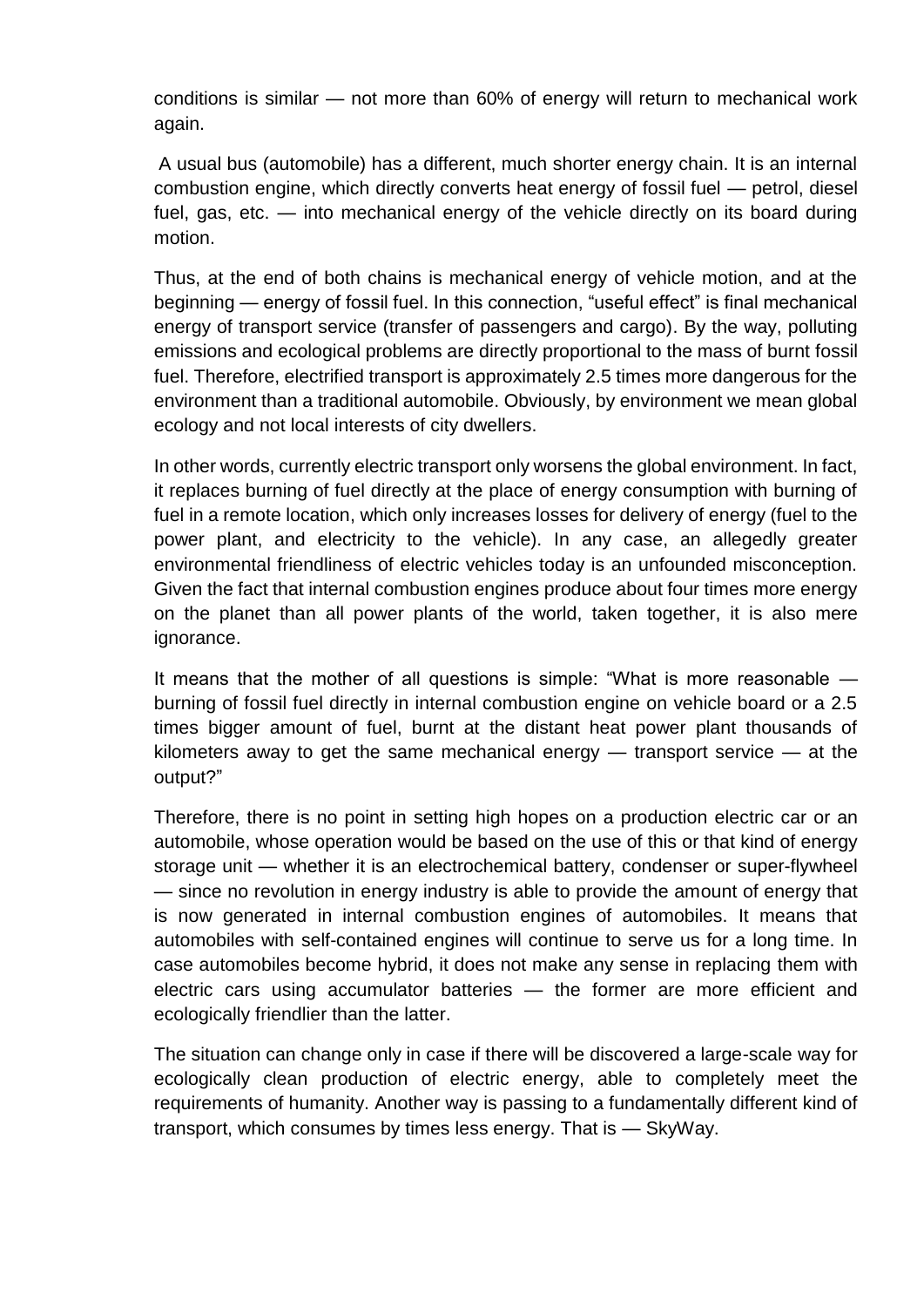conditions is similar — not more than 60% of energy will return to mechanical work again.

A usual bus (automobile) has a different, much shorter energy chain. It is an internal combustion engine, which directly converts heat energy of fossil fuel — petrol, diesel fuel, gas, etc. — into mechanical energy of the vehicle directly on its board during motion.

Thus, at the end of both chains is mechanical energy of vehicle motion, and at the beginning — energy of fossil fuel. In this connection, "useful effect" is final mechanical energy of transport service (transfer of passengers and cargo). By the way, polluting emissions and ecological problems are directly proportional to the mass of burnt fossil fuel. Therefore, electrified transport is approximately 2.5 times more dangerous for the environment than a traditional automobile. Obviously, by environment we mean global ecology and not local interests of city dwellers.

In other words, currently electric transport only worsens the global environment. In fact, it replaces burning of fuel directly at the place of energy consumption with burning of fuel in a remote location, which only increases losses for delivery of energy (fuel to the power plant, and electricity to the vehicle). In any case, an allegedly greater environmental friendliness of electric vehicles today is an unfounded misconception. Given the fact that internal combustion engines produce about four times more energy on the planet than all power plants of the world, taken together, it is also mere ignorance.

It means that the mother of all questions is simple: "What is more reasonable burning of fossil fuel directly in internal combustion engine on vehicle board or a 2.5 times bigger amount of fuel, burnt at the distant heat power plant thousands of kilometers away to get the same mechanical energy — transport service — at the output?"

Therefore, there is no point in setting high hopes on a production electric car or an automobile, whose operation would be based on the use of this or that kind of energy storage unit — whether it is an electrochemical battery, condenser or super-flywheel — since no revolution in energy industry is able to provide the amount of energy that is now generated in internal combustion engines of automobiles. It means that automobiles with self-contained engines will continue to serve us for a long time. In case automobiles become hybrid, it does not make any sense in replacing them with electric cars using accumulator batteries — the former are more efficient and ecologically friendlier than the latter.

The situation can change only in case if there will be discovered a large-scale way for ecologically clean production of electric energy, able to completely meet the requirements of humanity. Another way is passing to a fundamentally different kind of transport, which consumes by times less energy. That is — SkyWay.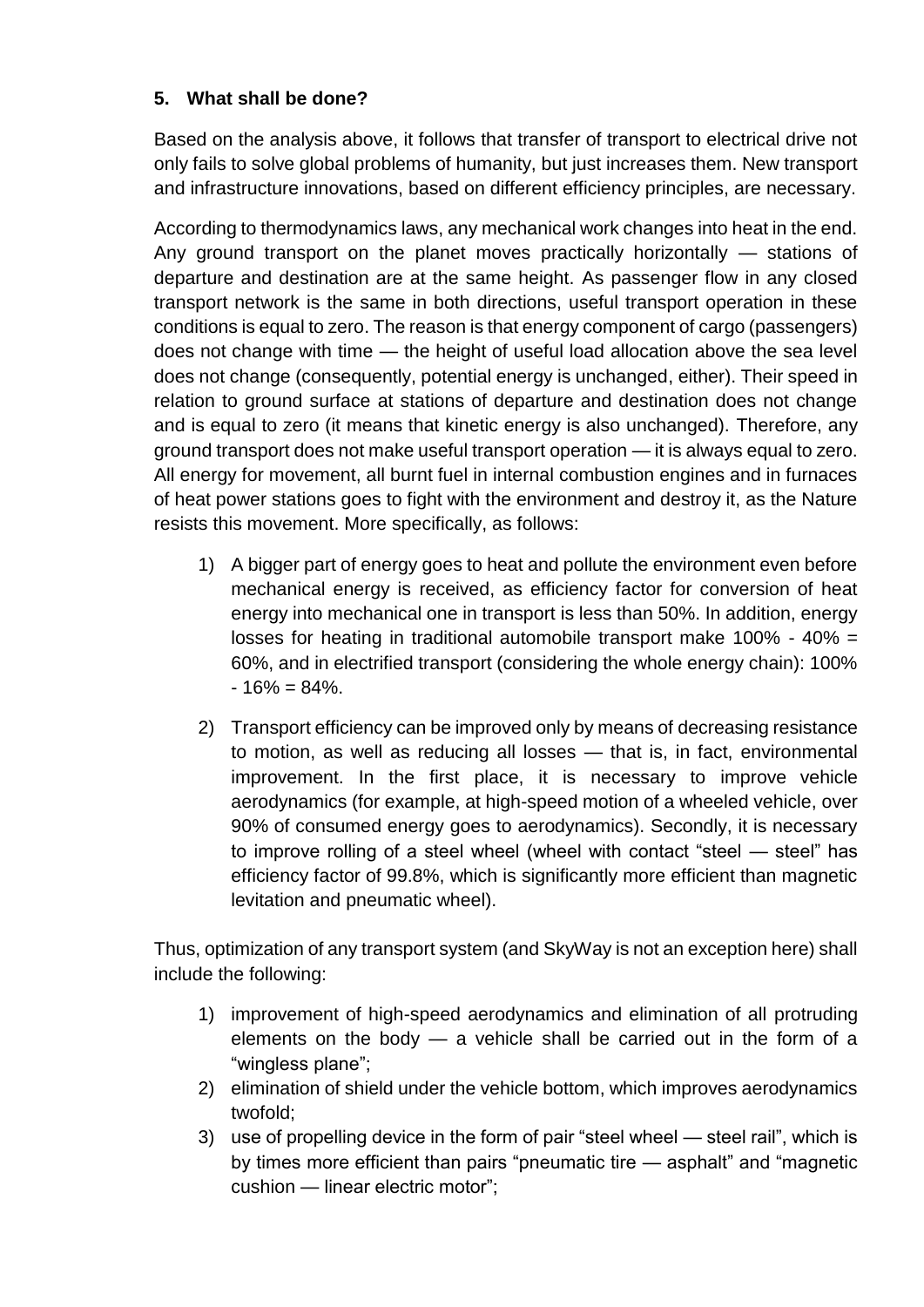# **5. What shall be done?**

Based on the analysis above, it follows that transfer of transport to electrical drive not only fails to solve global problems of humanity, but just increases them. New transport and infrastructure innovations, based on different efficiency principles, are necessary.

According to thermodynamics laws, any mechanical work changes into heat in the end. Any ground transport on the planet moves practically horizontally — stations of departure and destination are at the same height. As passenger flow in any closed transport network is the same in both directions, useful transport operation in these conditions is equal to zero. The reason is that energy component of cargo (passengers) does not change with time — the height of useful load allocation above the sea level does not change (consequently, potential energy is unchanged, either). Their speed in relation to ground surface at stations of departure and destination does not change and is equal to zero (it means that kinetic energy is also unchanged). Therefore, any ground transport does not make useful transport operation — it is always equal to zero. All energy for movement, all burnt fuel in internal combustion engines and in furnaces of heat power stations goes to fight with the environment and destroy it, as the Nature resists this movement. More specifically, as follows:

- 1) A bigger part of energy goes to heat and pollute the environment even before mechanical energy is received, as efficiency factor for conversion of heat energy into mechanical one in transport is less than 50%. In addition, energy losses for heating in traditional automobile transport make 100% - 40% = 60%, and in electrified transport (considering the whole energy chain): 100%  $-16\% = 84\%$ .
- 2) Transport efficiency can be improved only by means of decreasing resistance to motion, as well as reducing all losses — that is, in fact, environmental improvement. In the first place, it is necessary to improve vehicle aerodynamics (for example, at high-speed motion of a wheeled vehicle, over 90% of consumed energy goes to aerodynamics). Secondly, it is necessary to improve rolling of a steel wheel (wheel with contact "steel — steel" has efficiency factor of 99.8%, which is significantly more efficient than magnetic levitation and pneumatic wheel).

Thus, optimization of any transport system (and SkyWay is not an exception here) shall include the following:

- 1) improvement of high-speed aerodynamics and elimination of all protruding elements on the body  $-$  a vehicle shall be carried out in the form of a "wingless plane";
- 2) elimination of shield under the vehicle bottom, which improves aerodynamics twofold;
- 3) use of propelling device in the form of pair "steel wheel steel rail", which is by times more efficient than pairs "pneumatic tire — asphalt" and "magnetic cushion — linear electric motor";